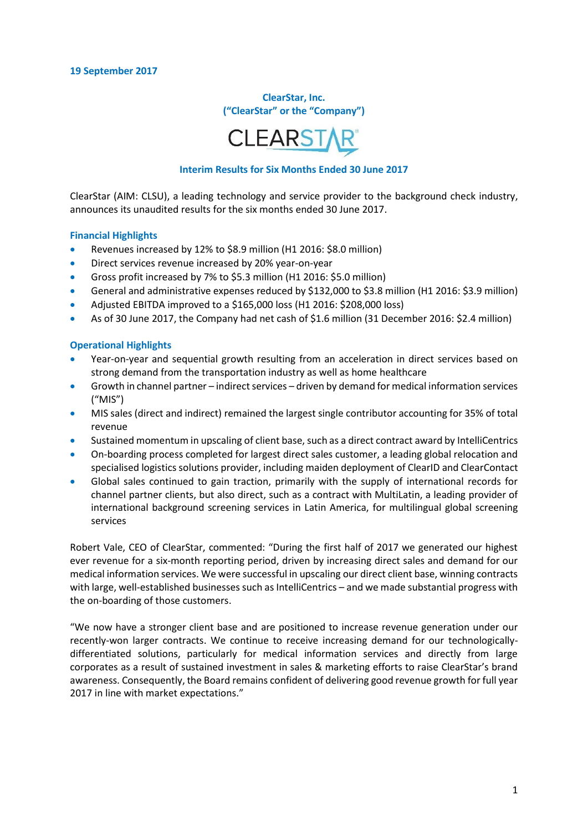**ClearStar, Inc. ("ClearStar" or the "Company")**



#### **Interim Results for Six Months Ended 30 June 2017**

ClearStar (AIM: CLSU), a leading technology and service provider to the background check industry, announces its unaudited results for the six months ended 30 June 2017.

#### **Financial Highlights**

- Revenues increased by 12% to \$8.9 million (H1 2016: \$8.0 million)
- Direct services revenue increased by 20% year-on-year
- Gross profit increased by 7% to \$5.3 million (H1 2016: \$5.0 million)
- General and administrative expenses reduced by \$132,000 to \$3.8 million (H1 2016: \$3.9 million)
- Adjusted EBITDA improved to a \$165,000 loss (H1 2016: \$208,000 loss)
- As of 30 June 2017, the Company had net cash of \$1.6 million (31 December 2016: \$2.4 million)

#### **Operational Highlights**

- Year-on-year and sequential growth resulting from an acceleration in direct services based on strong demand from the transportation industry as well as home healthcare
- Growth in channel partner indirect services driven by demand for medical information services ("MIS")
- MIS sales (direct and indirect) remained the largest single contributor accounting for 35% of total revenue
- Sustained momentum in upscaling of client base, such as a direct contract award by IntelliCentrics
- On-boarding process completed for largest direct sales customer, a leading global relocation and specialised logistics solutions provider, including maiden deployment of ClearID and ClearContact
- Global sales continued to gain traction, primarily with the supply of international records for channel partner clients, but also direct, such as a contract with MultiLatin, a leading provider of international background screening services in Latin America, for multilingual global screening services

Robert Vale, CEO of ClearStar, commented: "During the first half of 2017 we generated our highest ever revenue for a six-month reporting period, driven by increasing direct sales and demand for our medical information services. We were successful in upscaling our direct client base, winning contracts with large, well-established businesses such as IntelliCentrics – and we made substantial progress with the on-boarding of those customers.

"We now have a stronger client base and are positioned to increase revenue generation under our recently-won larger contracts. We continue to receive increasing demand for our technologicallydifferentiated solutions, particularly for medical information services and directly from large corporates as a result of sustained investment in sales & marketing efforts to raise ClearStar's brand awareness. Consequently, the Board remains confident of delivering good revenue growth for full year 2017 in line with market expectations."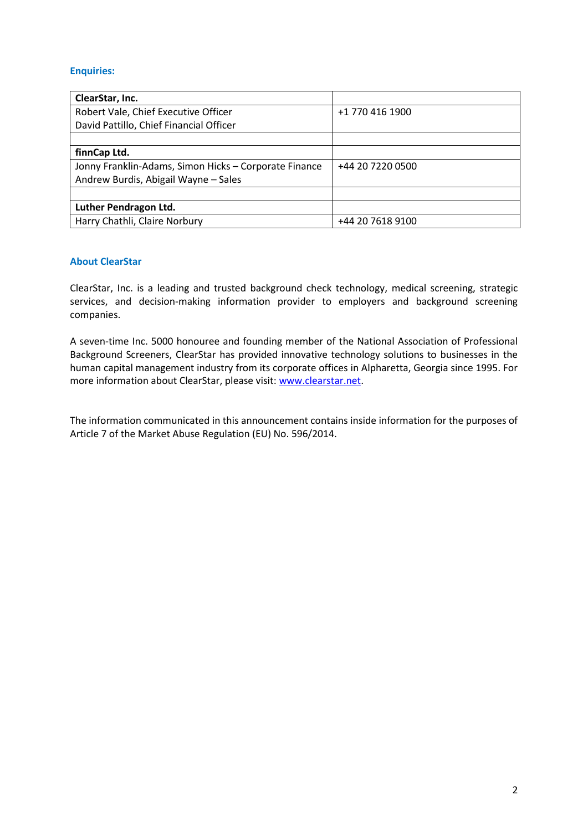## **Enquiries:**

| ClearStar, Inc.                                       |                  |
|-------------------------------------------------------|------------------|
| Robert Vale, Chief Executive Officer                  | +1 770 416 1900  |
| David Pattillo, Chief Financial Officer               |                  |
|                                                       |                  |
| finnCap Ltd.                                          |                  |
| Jonny Franklin-Adams, Simon Hicks - Corporate Finance | +44 20 7220 0500 |
| Andrew Burdis, Abigail Wayne - Sales                  |                  |
|                                                       |                  |
| Luther Pendragon Ltd.                                 |                  |
| Harry Chathli, Claire Norbury                         | +44 20 7618 9100 |

### **About ClearStar**

ClearStar, Inc. is a leading and trusted background check technology, medical screening, strategic services, and decision-making information provider to employers and background screening companies.

A seven-time Inc. 5000 honouree and founding member of the National Association of Professional Background Screeners, ClearStar has provided innovative technology solutions to businesses in the human capital management industry from its corporate offices in Alpharetta, Georgia since 1995. For more information about ClearStar, please visit[: www.clearstar.net.](http://www.clearstar.net/)

The information communicated in this announcement contains inside information for the purposes of Article 7 of the Market Abuse Regulation (EU) No. 596/2014.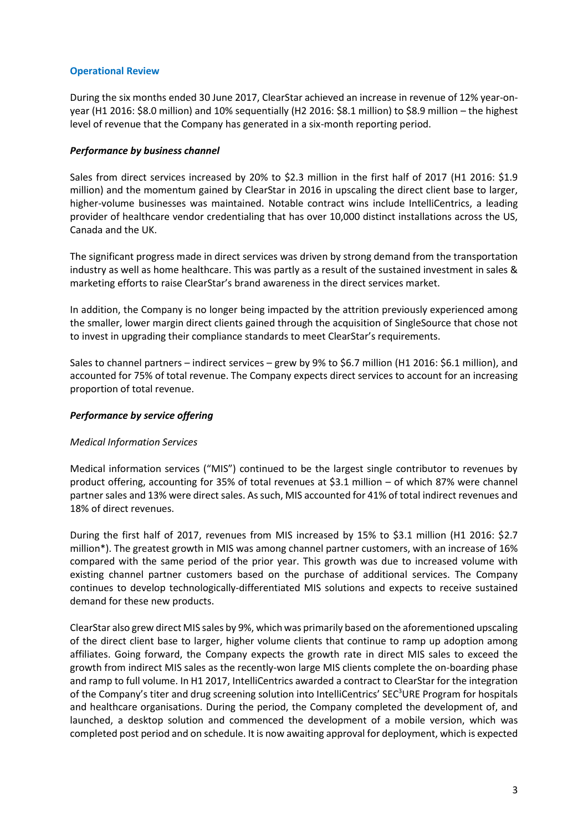### **Operational Review**

During the six months ended 30 June 2017, ClearStar achieved an increase in revenue of 12% year-onyear (H1 2016: \$8.0 million) and 10% sequentially (H2 2016: \$8.1 million) to \$8.9 million – the highest level of revenue that the Company has generated in a six-month reporting period.

#### *Performance by business channel*

Sales from direct services increased by 20% to \$2.3 million in the first half of 2017 (H1 2016: \$1.9 million) and the momentum gained by ClearStar in 2016 in upscaling the direct client base to larger, higher-volume businesses was maintained. Notable contract wins include IntelliCentrics, a leading provider of healthcare vendor credentialing that has over 10,000 distinct installations across the US, Canada and the UK.

The significant progress made in direct services was driven by strong demand from the transportation industry as well as home healthcare. This was partly as a result of the sustained investment in sales & marketing efforts to raise ClearStar's brand awareness in the direct services market.

In addition, the Company is no longer being impacted by the attrition previously experienced among the smaller, lower margin direct clients gained through the acquisition of SingleSource that chose not to invest in upgrading their compliance standards to meet ClearStar's requirements.

Sales to channel partners – indirect services – grew by 9% to \$6.7 million (H1 2016: \$6.1 million), and accounted for 75% of total revenue. The Company expects direct services to account for an increasing proportion of total revenue.

### *Performance by service offering*

## *Medical Information Services*

Medical information services ("MIS") continued to be the largest single contributor to revenues by product offering, accounting for 35% of total revenues at \$3.1 million – of which 87% were channel partner sales and 13% were direct sales. As such, MIS accounted for 41% of total indirect revenues and 18% of direct revenues.

During the first half of 2017, revenues from MIS increased by 15% to \$3.1 million (H1 2016: \$2.7 million\*). The greatest growth in MIS was among channel partner customers, with an increase of 16% compared with the same period of the prior year. This growth was due to increased volume with existing channel partner customers based on the purchase of additional services. The Company continues to develop technologically-differentiated MIS solutions and expects to receive sustained demand for these new products.

ClearStar also grew direct MIS sales by 9%, which was primarily based on the aforementioned upscaling of the direct client base to larger, higher volume clients that continue to ramp up adoption among affiliates. Going forward, the Company expects the growth rate in direct MIS sales to exceed the growth from indirect MIS sales as the recently-won large MIS clients complete the on-boarding phase and ramp to full volume. In H1 2017, IntelliCentrics awarded a contract to ClearStar for the integration of the Company's titer and drug screening solution into IntelliCentrics' SEC<sup>3</sup>URE Program for hospitals and healthcare organisations. During the period, the Company completed the development of, and launched, a desktop solution and commenced the development of a mobile version, which was completed post period and on schedule. It is now awaiting approval for deployment, which is expected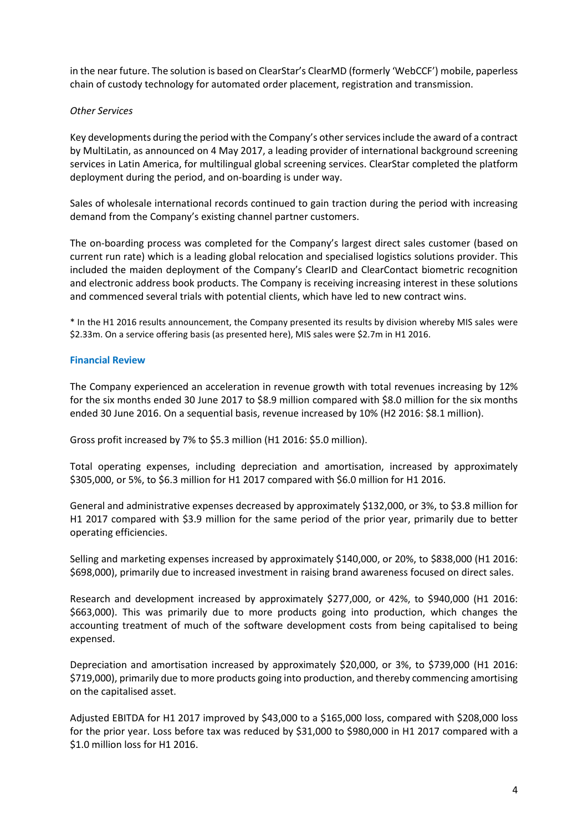in the near future. The solution is based on ClearStar's ClearMD (formerly 'WebCCF') mobile, paperless chain of custody technology for automated order placement, registration and transmission.

#### *Other Services*

Key developments during the period with the Company's other services include the award of a contract by MultiLatin, as announced on 4 May 2017, a leading provider of international background screening services in Latin America, for multilingual global screening services. ClearStar completed the platform deployment during the period, and on-boarding is under way.

Sales of wholesale international records continued to gain traction during the period with increasing demand from the Company's existing channel partner customers.

The on-boarding process was completed for the Company's largest direct sales customer (based on current run rate) which is a leading global relocation and specialised logistics solutions provider. This included the maiden deployment of the Company's ClearID and ClearContact biometric recognition and electronic address book products. The Company is receiving increasing interest in these solutions and commenced several trials with potential clients, which have led to new contract wins.

\* In the H1 2016 results announcement, the Company presented its results by division whereby MIS sales were \$2.33m. On a service offering basis (as presented here), MIS sales were \$2.7m in H1 2016.

### **Financial Review**

The Company experienced an acceleration in revenue growth with total revenues increasing by 12% for the six months ended 30 June 2017 to \$8.9 million compared with \$8.0 million for the six months ended 30 June 2016. On a sequential basis, revenue increased by 10% (H2 2016: \$8.1 million).

Gross profit increased by 7% to \$5.3 million (H1 2016: \$5.0 million).

Total operating expenses, including depreciation and amortisation, increased by approximately \$305,000, or 5%, to \$6.3 million for H1 2017 compared with \$6.0 million for H1 2016.

General and administrative expenses decreased by approximately \$132,000, or 3%, to \$3.8 million for H1 2017 compared with \$3.9 million for the same period of the prior year, primarily due to better operating efficiencies.

Selling and marketing expenses increased by approximately \$140,000, or 20%, to \$838,000 (H1 2016: \$698,000), primarily due to increased investment in raising brand awareness focused on direct sales.

Research and development increased by approximately \$277,000, or 42%, to \$940,000 (H1 2016: \$663,000). This was primarily due to more products going into production, which changes the accounting treatment of much of the software development costs from being capitalised to being expensed.

Depreciation and amortisation increased by approximately \$20,000, or 3%, to \$739,000 (H1 2016: \$719,000), primarily due to more products going into production, and thereby commencing amortising on the capitalised asset.

Adjusted EBITDA for H1 2017 improved by \$43,000 to a \$165,000 loss, compared with \$208,000 loss for the prior year. Loss before tax was reduced by \$31,000 to \$980,000 in H1 2017 compared with a \$1.0 million loss for H1 2016.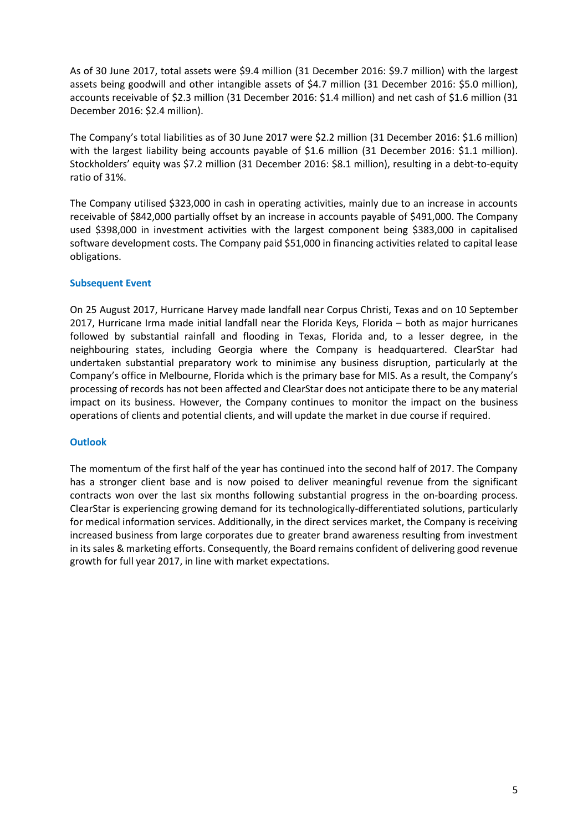As of 30 June 2017, total assets were \$9.4 million (31 December 2016: \$9.7 million) with the largest assets being goodwill and other intangible assets of \$4.7 million (31 December 2016: \$5.0 million), accounts receivable of \$2.3 million (31 December 2016: \$1.4 million) and net cash of \$1.6 million (31 December 2016: \$2.4 million).

The Company's total liabilities as of 30 June 2017 were \$2.2 million (31 December 2016: \$1.6 million) with the largest liability being accounts payable of \$1.6 million (31 December 2016: \$1.1 million). Stockholders' equity was \$7.2 million (31 December 2016: \$8.1 million), resulting in a debt-to-equity ratio of 31%.

The Company utilised \$323,000 in cash in operating activities, mainly due to an increase in accounts receivable of \$842,000 partially offset by an increase in accounts payable of \$491,000. The Company used \$398,000 in investment activities with the largest component being \$383,000 in capitalised software development costs. The Company paid \$51,000 in financing activities related to capital lease obligations.

### **Subsequent Event**

On 25 August 2017, Hurricane Harvey made landfall near Corpus Christi, Texas and on 10 September 2017, Hurricane Irma made initial landfall near the Florida Keys, Florida – both as major hurricanes followed by substantial rainfall and flooding in Texas, Florida and, to a lesser degree, in the neighbouring states, including Georgia where the Company is headquartered. ClearStar had undertaken substantial preparatory work to minimise any business disruption, particularly at the Company's office in Melbourne, Florida which is the primary base for MIS. As a result, the Company's processing of records has not been affected and ClearStar does not anticipate there to be any material impact on its business. However, the Company continues to monitor the impact on the business operations of clients and potential clients, and will update the market in due course if required.

#### **Outlook**

The momentum of the first half of the year has continued into the second half of 2017. The Company has a stronger client base and is now poised to deliver meaningful revenue from the significant contracts won over the last six months following substantial progress in the on-boarding process. ClearStar is experiencing growing demand for its technologically-differentiated solutions, particularly for medical information services. Additionally, in the direct services market, the Company is receiving increased business from large corporates due to greater brand awareness resulting from investment in its sales & marketing efforts. Consequently, the Board remains confident of delivering good revenue growth for full year 2017, in line with market expectations.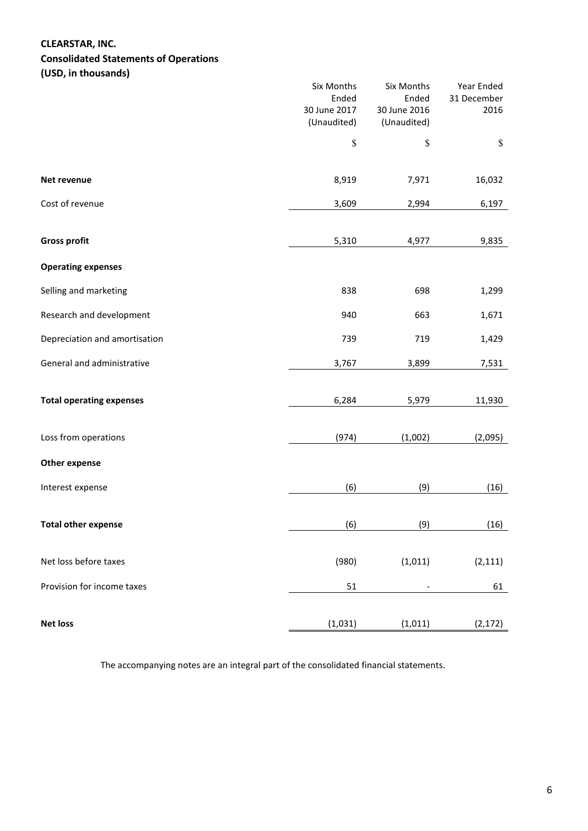### **CLEARSTAR, INC.**

# **Consolidated Statements of Operations**

**(USD, in thousands)**

|                                 | Six Months<br>Ended<br>30 June 2017<br>(Unaudited) | Six Months<br>Ended<br>30 June 2016<br>(Unaudited) | Year Ended<br>31 December<br>2016 |
|---------------------------------|----------------------------------------------------|----------------------------------------------------|-----------------------------------|
|                                 | \$                                                 | \$                                                 | $\$$                              |
| Net revenue                     | 8,919                                              | 7,971                                              | 16,032                            |
| Cost of revenue                 | 3,609                                              | 2,994                                              | 6,197                             |
| <b>Gross profit</b>             | 5,310                                              | 4,977                                              | 9,835                             |
| <b>Operating expenses</b>       |                                                    |                                                    |                                   |
| Selling and marketing           | 838                                                | 698                                                | 1,299                             |
| Research and development        | 940                                                | 663                                                | 1,671                             |
| Depreciation and amortisation   | 739                                                | 719                                                | 1,429                             |
| General and administrative      | 3,767                                              | 3,899                                              | 7,531                             |
| <b>Total operating expenses</b> | 6,284                                              | 5,979                                              | 11,930                            |
| Loss from operations            | (974)                                              | (1,002)                                            | (2,095)                           |
| <b>Other expense</b>            |                                                    |                                                    |                                   |
| Interest expense                | (6)                                                | (9)                                                | (16)                              |
| <b>Total other expense</b>      | (6)                                                | (9)                                                | (16)                              |
| Net loss before taxes           | (980)                                              | (1,011)                                            | (2, 111)                          |
| Provision for income taxes      | 51                                                 |                                                    | 61                                |
| <b>Net loss</b>                 | (1,031)                                            | (1,011)                                            | (2, 172)                          |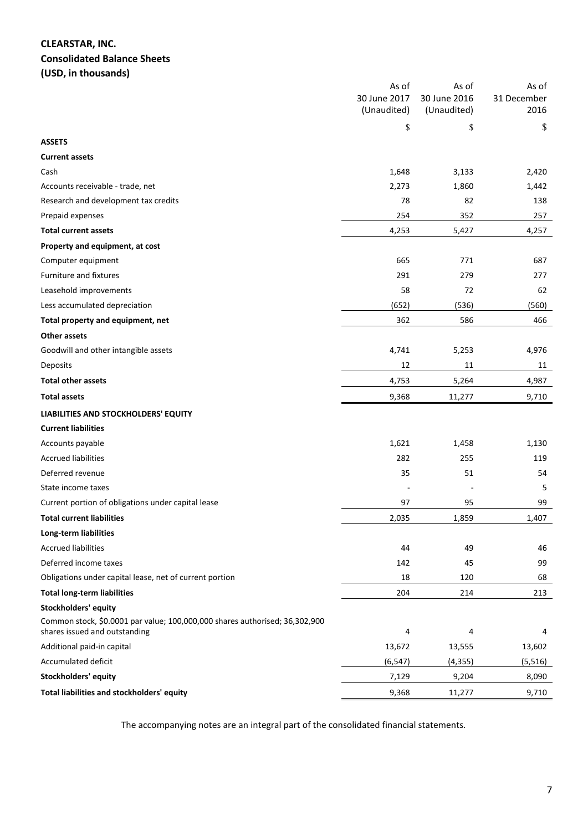# **CLEARSTAR, INC. Consolidated Balance Sheets**

**(USD, in thousands)**

|                                                                                                              | As of<br>30 June 2017 | As of<br>30 June 2016 | As of<br>31 December |
|--------------------------------------------------------------------------------------------------------------|-----------------------|-----------------------|----------------------|
|                                                                                                              | (Unaudited)           | (Unaudited)           | 2016                 |
|                                                                                                              | \$                    | \$                    | \$                   |
| <b>ASSETS</b>                                                                                                |                       |                       |                      |
| <b>Current assets</b>                                                                                        |                       |                       |                      |
| Cash                                                                                                         | 1,648                 | 3,133                 | 2,420                |
| Accounts receivable - trade, net                                                                             | 2,273                 | 1,860                 | 1,442                |
| Research and development tax credits                                                                         | 78                    | 82                    | 138                  |
| Prepaid expenses                                                                                             | 254                   | 352                   | 257                  |
| <b>Total current assets</b>                                                                                  | 4,253                 | 5,427                 | 4,257                |
| Property and equipment, at cost                                                                              |                       |                       |                      |
| Computer equipment                                                                                           | 665                   | 771                   | 687                  |
| Furniture and fixtures                                                                                       | 291                   | 279                   | 277                  |
| Leasehold improvements                                                                                       | 58                    | 72                    | 62                   |
| Less accumulated depreciation                                                                                | (652)                 | (536)                 | (560)                |
| Total property and equipment, net                                                                            | 362                   | 586                   | 466                  |
| <b>Other assets</b>                                                                                          |                       |                       |                      |
| Goodwill and other intangible assets                                                                         | 4,741                 | 5,253                 | 4,976                |
| Deposits                                                                                                     | 12                    | 11                    | 11                   |
| <b>Total other assets</b>                                                                                    | 4,753                 | 5,264                 | 4,987                |
| <b>Total assets</b>                                                                                          | 9,368                 | 11,277                | 9,710                |
| LIABILITIES AND STOCKHOLDERS' EQUITY                                                                         |                       |                       |                      |
| <b>Current liabilities</b>                                                                                   |                       |                       |                      |
| Accounts payable                                                                                             | 1,621                 | 1,458                 | 1,130                |
| <b>Accrued liabilities</b>                                                                                   | 282                   | 255                   | 119                  |
| Deferred revenue                                                                                             | 35                    | 51                    | 54                   |
| State income taxes                                                                                           |                       |                       | 5                    |
| Current portion of obligations under capital lease                                                           | 97                    | 95                    | 99                   |
| <b>Total current liabilities</b>                                                                             | 2,035                 | 1,859                 | 1,407                |
| Long-term liabilities                                                                                        |                       |                       |                      |
| <b>Accrued liabilities</b>                                                                                   | 44                    | 49                    | 46                   |
| Deferred income taxes                                                                                        | 142                   | 45                    | 99                   |
| Obligations under capital lease, net of current portion                                                      | 18                    | 120                   | 68                   |
| <b>Total long-term liabilities</b>                                                                           | 204                   | 214                   | 213                  |
| Stockholders' equity                                                                                         |                       |                       |                      |
| Common stock, \$0.0001 par value; 100,000,000 shares authorised; 36,302,900<br>shares issued and outstanding | 4                     | 4                     | 4                    |
| Additional paid-in capital                                                                                   | 13,672                | 13,555                | 13,602               |
| Accumulated deficit                                                                                          | (6, 547)              | (4, 355)              | (5, 516)             |
| Stockholders' equity                                                                                         | 7,129                 | 9,204                 | 8,090                |
| Total liabilities and stockholders' equity                                                                   | 9,368                 | 11,277                | 9,710                |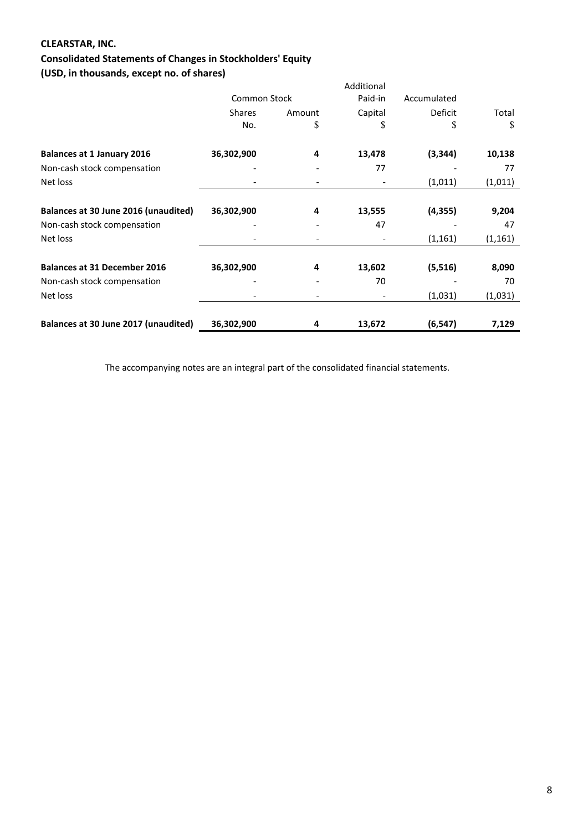# **CLEARSTAR, INC.**

# **Consolidated Statements of Changes in Stockholders' Equity**

**(USD, in thousands, except no. of shares)**

| $1000$ , $110000$                    |                     |        | Additional |             |          |
|--------------------------------------|---------------------|--------|------------|-------------|----------|
|                                      | <b>Common Stock</b> |        | Paid-in    | Accumulated |          |
|                                      | <b>Shares</b>       | Amount | Capital    | Deficit     | Total    |
|                                      | No.                 | \$     | \$         | \$          | \$       |
| <b>Balances at 1 January 2016</b>    | 36,302,900          | 4      | 13,478     | (3, 344)    | 10,138   |
| Non-cash stock compensation          |                     |        | 77         |             | 77       |
| Net loss                             |                     |        |            | (1, 011)    | (1, 011) |
| Balances at 30 June 2016 (unaudited) | 36,302,900          | 4      | 13,555     | (4, 355)    | 9,204    |
| Non-cash stock compensation          |                     |        | 47         |             | 47       |
| Net loss                             |                     |        |            | (1, 161)    | (1, 161) |
| <b>Balances at 31 December 2016</b>  | 36,302,900          | 4      | 13,602     | (5, 516)    | 8,090    |
| Non-cash stock compensation          |                     |        | 70         |             | 70       |
| Net loss                             |                     |        |            | (1,031)     | (1,031)  |
| Balances at 30 June 2017 (unaudited) | 36,302,900          | 4      | 13,672     | (6, 547)    | 7,129    |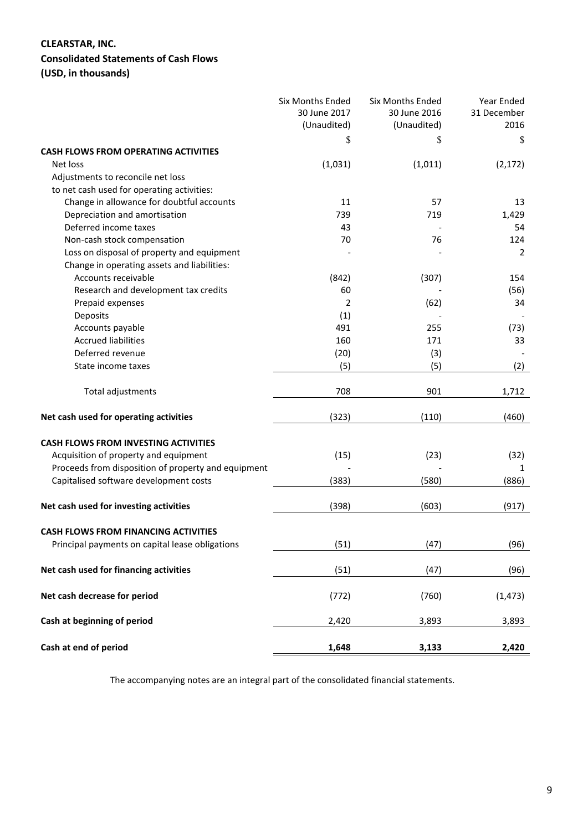# **CLEARSTAR, INC.**

# **Consolidated Statements of Cash Flows**

**(USD, in thousands)**

|                                                     | <b>Six Months Ended</b><br>30 June 2017<br>(Unaudited)<br>\$ | <b>Six Months Ended</b><br>30 June 2016<br>(Unaudited) | <b>Year Ended</b><br>31 December<br>2016<br>\$ |
|-----------------------------------------------------|--------------------------------------------------------------|--------------------------------------------------------|------------------------------------------------|
| <b>CASH FLOWS FROM OPERATING ACTIVITIES</b>         |                                                              | \$                                                     |                                                |
| Net loss                                            | (1,031)                                                      | (1,011)                                                | (2, 172)                                       |
| Adjustments to reconcile net loss                   |                                                              |                                                        |                                                |
| to net cash used for operating activities:          |                                                              |                                                        |                                                |
| Change in allowance for doubtful accounts           | 11                                                           | 57                                                     | 13                                             |
| Depreciation and amortisation                       | 739                                                          | 719                                                    | 1,429                                          |
| Deferred income taxes                               | 43                                                           |                                                        | 54                                             |
| Non-cash stock compensation                         | 70                                                           | 76                                                     | 124                                            |
| Loss on disposal of property and equipment          |                                                              |                                                        | 2                                              |
| Change in operating assets and liabilities:         |                                                              |                                                        |                                                |
| Accounts receivable                                 | (842)                                                        | (307)                                                  | 154                                            |
| Research and development tax credits                | 60                                                           |                                                        | (56)                                           |
| Prepaid expenses                                    | 2                                                            | (62)                                                   | 34                                             |
| Deposits                                            | (1)                                                          |                                                        |                                                |
| Accounts payable                                    | 491                                                          | 255                                                    | (73)                                           |
| <b>Accrued liabilities</b>                          | 160                                                          | 171                                                    | 33                                             |
| Deferred revenue                                    | (20)                                                         |                                                        |                                                |
| State income taxes                                  |                                                              | (3)                                                    |                                                |
|                                                     | (5)                                                          | (5)                                                    | (2)                                            |
| Total adjustments                                   | 708                                                          | 901                                                    | 1,712                                          |
| Net cash used for operating activities              | (323)                                                        | (110)                                                  | (460)                                          |
|                                                     |                                                              |                                                        |                                                |
| <b>CASH FLOWS FROM INVESTING ACTIVITIES</b>         |                                                              |                                                        |                                                |
| Acquisition of property and equipment               | (15)                                                         | (23)                                                   | (32)                                           |
| Proceeds from disposition of property and equipment |                                                              |                                                        | 1                                              |
| Capitalised software development costs              | (383)                                                        | (580)                                                  | (886)                                          |
| Net cash used for investing activities              | (398)                                                        | (603)                                                  | (917)                                          |
|                                                     |                                                              |                                                        |                                                |
| <b>CASH FLOWS FROM FINANCING ACTIVITIES</b>         |                                                              |                                                        |                                                |
| Principal payments on capital lease obligations     | (51)                                                         | (47)                                                   | (96)                                           |
| Net cash used for financing activities              | (51)                                                         | (47)                                                   | (96)                                           |
| Net cash decrease for period                        | (772)                                                        | (760)                                                  | (1, 473)                                       |
| Cash at beginning of period                         | 2,420                                                        | 3,893                                                  | 3,893                                          |
| Cash at end of period                               | 1,648                                                        | 3,133                                                  | 2,420                                          |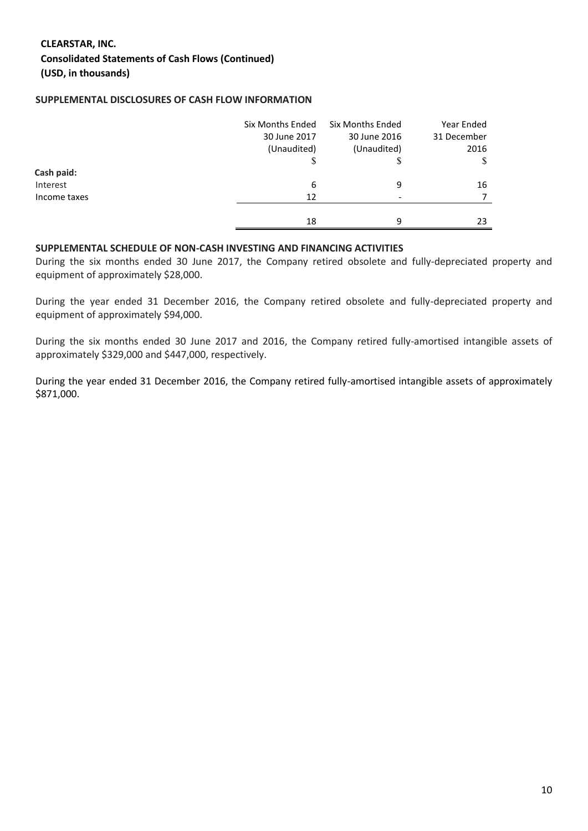# **CLEARSTAR, INC. Consolidated Statements of Cash Flows (Continued) (USD, in thousands)**

### **SUPPLEMENTAL DISCLOSURES OF CASH FLOW INFORMATION**

|              | Six Months Ended<br>30 June 2017 | <b>Six Months Ended</b><br>30 June 2016 | Year Ended<br>31 December |
|--------------|----------------------------------|-----------------------------------------|---------------------------|
|              | (Unaudited)                      | (Unaudited)                             | 2016                      |
|              | D                                |                                         | S                         |
| Cash paid:   |                                  |                                         |                           |
| Interest     | 6                                | 9                                       | 16                        |
| Income taxes | 12                               |                                         |                           |
|              |                                  |                                         |                           |
|              | 18                               | q                                       | 23                        |

#### **SUPPLEMENTAL SCHEDULE OF NON-CASH INVESTING AND FINANCING ACTIVITIES**

During the six months ended 30 June 2017, the Company retired obsolete and fully-depreciated property and equipment of approximately \$28,000.

During the year ended 31 December 2016, the Company retired obsolete and fully-depreciated property and equipment of approximately \$94,000.

During the six months ended 30 June 2017 and 2016, the Company retired fully-amortised intangible assets of approximately \$329,000 and \$447,000, respectively.

During the year ended 31 December 2016, the Company retired fully-amortised intangible assets of approximately \$871,000.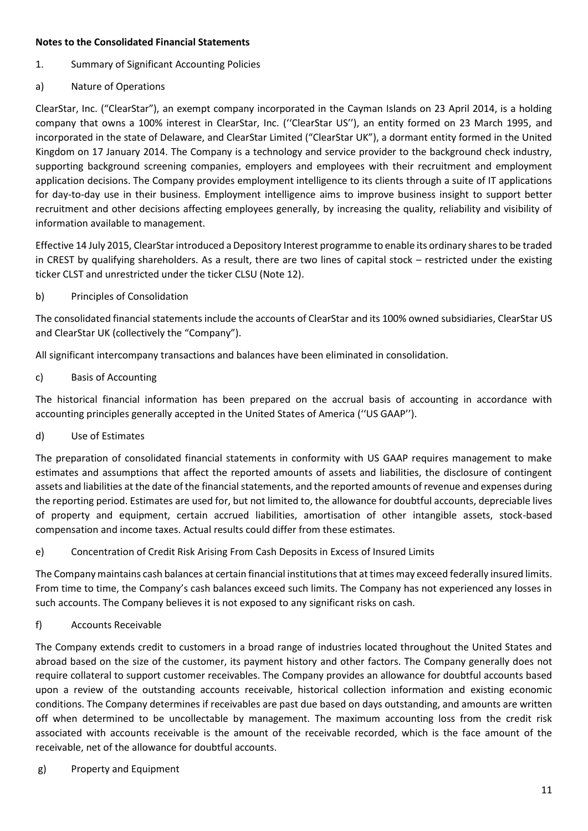### **Notes to the Consolidated Financial Statements**

- 1. Summary of Significant Accounting Policies
- a) Nature of Operations

ClearStar, Inc. ("ClearStar"), an exempt company incorporated in the Cayman Islands on 23 April 2014, is a holding company that owns a 100% interest in ClearStar, Inc. (''ClearStar US''), an entity formed on 23 March 1995, and incorporated in the state of Delaware, and ClearStar Limited ("ClearStar UK"), a dormant entity formed in the United Kingdom on 17 January 2014. The Company is a technology and service provider to the background check industry, supporting background screening companies, employers and employees with their recruitment and employment application decisions. The Company provides employment intelligence to its clients through a suite of IT applications for day-to-day use in their business. Employment intelligence aims to improve business insight to support better recruitment and other decisions affecting employees generally, by increasing the quality, reliability and visibility of information available to management.

Effective 14 July 2015, ClearStar introduced a Depository Interest programme to enable its ordinary shares to be traded in CREST by qualifying shareholders. As a result, there are two lines of capital stock – restricted under the existing ticker CLST and unrestricted under the ticker CLSU (Note 12).

# b) Principles of Consolidation

The consolidated financial statements include the accounts of ClearStar and its 100% owned subsidiaries, ClearStar US and ClearStar UK (collectively the "Company").

All significant intercompany transactions and balances have been eliminated in consolidation.

c) Basis of Accounting

The historical financial information has been prepared on the accrual basis of accounting in accordance with accounting principles generally accepted in the United States of America (''US GAAP'').

d) Use of Estimates

The preparation of consolidated financial statements in conformity with US GAAP requires management to make estimates and assumptions that affect the reported amounts of assets and liabilities, the disclosure of contingent assets and liabilities at the date of the financial statements, and the reported amounts of revenue and expenses during the reporting period. Estimates are used for, but not limited to, the allowance for doubtful accounts, depreciable lives of property and equipment, certain accrued liabilities, amortisation of other intangible assets, stock-based compensation and income taxes. Actual results could differ from these estimates.

e) Concentration of Credit Risk Arising From Cash Deposits in Excess of Insured Limits

The Company maintains cash balances at certain financial institutions that at times may exceed federally insured limits. From time to time, the Company's cash balances exceed such limits. The Company has not experienced any losses in such accounts. The Company believes it is not exposed to any significant risks on cash.

# f) Accounts Receivable

The Company extends credit to customers in a broad range of industries located throughout the United States and abroad based on the size of the customer, its payment history and other factors. The Company generally does not require collateral to support customer receivables. The Company provides an allowance for doubtful accounts based upon a review of the outstanding accounts receivable, historical collection information and existing economic conditions. The Company determines if receivables are past due based on days outstanding, and amounts are written off when determined to be uncollectable by management. The maximum accounting loss from the credit risk associated with accounts receivable is the amount of the receivable recorded, which is the face amount of the receivable, net of the allowance for doubtful accounts.

g) Property and Equipment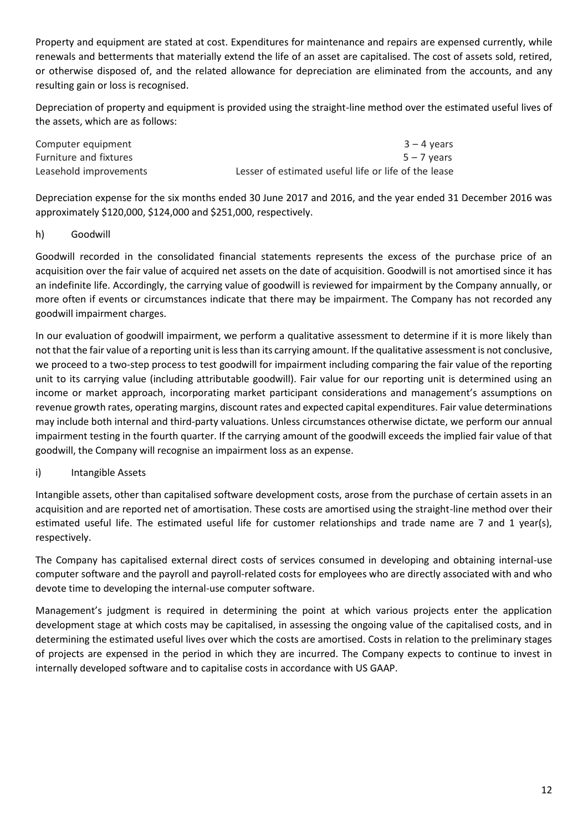Property and equipment are stated at cost. Expenditures for maintenance and repairs are expensed currently, while renewals and betterments that materially extend the life of an asset are capitalised. The cost of assets sold, retired, or otherwise disposed of, and the related allowance for depreciation are eliminated from the accounts, and any resulting gain or loss is recognised.

Depreciation of property and equipment is provided using the straight-line method over the estimated useful lives of the assets, which are as follows:

| Computer equipment     | $3 - 4$ years                                        |
|------------------------|------------------------------------------------------|
| Furniture and fixtures | $5 - 7$ years                                        |
| Leasehold improvements | Lesser of estimated useful life or life of the lease |

Depreciation expense for the six months ended 30 June 2017 and 2016, and the year ended 31 December 2016 was approximately \$120,000, \$124,000 and \$251,000, respectively.

## h) Goodwill

Goodwill recorded in the consolidated financial statements represents the excess of the purchase price of an acquisition over the fair value of acquired net assets on the date of acquisition. Goodwill is not amortised since it has an indefinite life. Accordingly, the carrying value of goodwill is reviewed for impairment by the Company annually, or more often if events or circumstances indicate that there may be impairment. The Company has not recorded any goodwill impairment charges.

In our evaluation of goodwill impairment, we perform a qualitative assessment to determine if it is more likely than not that the fair value of a reporting unit is less than its carrying amount. If the qualitative assessment is not conclusive, we proceed to a two-step process to test goodwill for impairment including comparing the fair value of the reporting unit to its carrying value (including attributable goodwill). Fair value for our reporting unit is determined using an income or market approach, incorporating market participant considerations and management's assumptions on revenue growth rates, operating margins, discount rates and expected capital expenditures. Fair value determinations may include both internal and third-party valuations. Unless circumstances otherwise dictate, we perform our annual impairment testing in the fourth quarter. If the carrying amount of the goodwill exceeds the implied fair value of that goodwill, the Company will recognise an impairment loss as an expense.

# i) Intangible Assets

Intangible assets, other than capitalised software development costs, arose from the purchase of certain assets in an acquisition and are reported net of amortisation. These costs are amortised using the straight-line method over their estimated useful life. The estimated useful life for customer relationships and trade name are 7 and 1 year(s), respectively.

The Company has capitalised external direct costs of services consumed in developing and obtaining internal-use computer software and the payroll and payroll-related costs for employees who are directly associated with and who devote time to developing the internal-use computer software.

Management's judgment is required in determining the point at which various projects enter the application development stage at which costs may be capitalised, in assessing the ongoing value of the capitalised costs, and in determining the estimated useful lives over which the costs are amortised. Costs in relation to the preliminary stages of projects are expensed in the period in which they are incurred. The Company expects to continue to invest in internally developed software and to capitalise costs in accordance with US GAAP.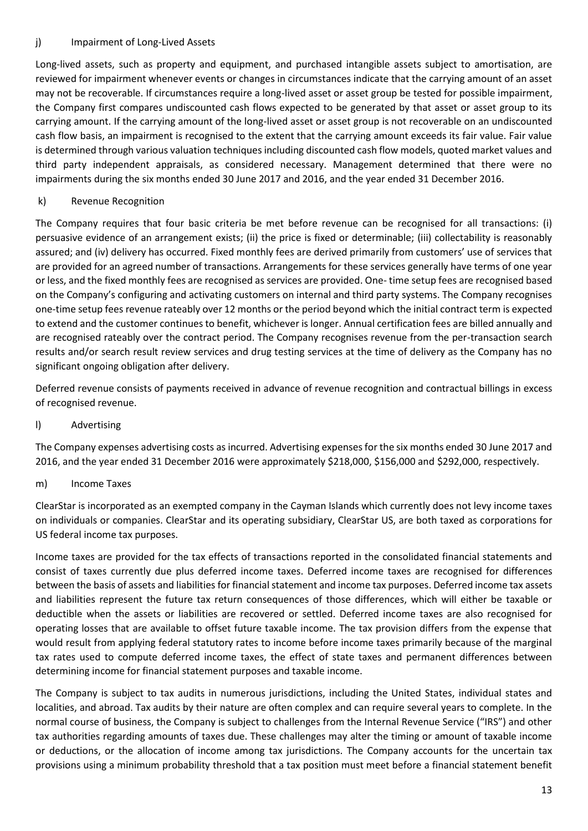## j) Impairment of Long-Lived Assets

Long-lived assets, such as property and equipment, and purchased intangible assets subject to amortisation, are reviewed for impairment whenever events or changes in circumstances indicate that the carrying amount of an asset may not be recoverable. If circumstances require a long-lived asset or asset group be tested for possible impairment, the Company first compares undiscounted cash flows expected to be generated by that asset or asset group to its carrying amount. If the carrying amount of the long-lived asset or asset group is not recoverable on an undiscounted cash flow basis, an impairment is recognised to the extent that the carrying amount exceeds its fair value. Fair value is determined through various valuation techniques including discounted cash flow models, quoted market values and third party independent appraisals, as considered necessary. Management determined that there were no impairments during the six months ended 30 June 2017 and 2016, and the year ended 31 December 2016.

# k) Revenue Recognition

The Company requires that four basic criteria be met before revenue can be recognised for all transactions: (i) persuasive evidence of an arrangement exists; (ii) the price is fixed or determinable; (iii) collectability is reasonably assured; and (iv) delivery has occurred. Fixed monthly fees are derived primarily from customers' use of services that are provided for an agreed number of transactions. Arrangements for these services generally have terms of one year or less, and the fixed monthly fees are recognised as services are provided. One- time setup fees are recognised based on the Company's configuring and activating customers on internal and third party systems. The Company recognises one-time setup fees revenue rateably over 12 months or the period beyond which the initial contract term is expected to extend and the customer continues to benefit, whichever is longer. Annual certification fees are billed annually and are recognised rateably over the contract period. The Company recognises revenue from the per-transaction search results and/or search result review services and drug testing services at the time of delivery as the Company has no significant ongoing obligation after delivery.

Deferred revenue consists of payments received in advance of revenue recognition and contractual billings in excess of recognised revenue.

## l) Advertising

The Company expenses advertising costs as incurred. Advertising expenses for the six months ended 30 June 2017 and 2016, and the year ended 31 December 2016 were approximately \$218,000, \$156,000 and \$292,000, respectively.

## m) Income Taxes

ClearStar is incorporated as an exempted company in the Cayman Islands which currently does not levy income taxes on individuals or companies. ClearStar and its operating subsidiary, ClearStar US, are both taxed as corporations for US federal income tax purposes.

Income taxes are provided for the tax effects of transactions reported in the consolidated financial statements and consist of taxes currently due plus deferred income taxes. Deferred income taxes are recognised for differences between the basis of assets and liabilities for financial statement and income tax purposes. Deferred income tax assets and liabilities represent the future tax return consequences of those differences, which will either be taxable or deductible when the assets or liabilities are recovered or settled. Deferred income taxes are also recognised for operating losses that are available to offset future taxable income. The tax provision differs from the expense that would result from applying federal statutory rates to income before income taxes primarily because of the marginal tax rates used to compute deferred income taxes, the effect of state taxes and permanent differences between determining income for financial statement purposes and taxable income.

The Company is subject to tax audits in numerous jurisdictions, including the United States, individual states and localities, and abroad. Tax audits by their nature are often complex and can require several years to complete. In the normal course of business, the Company is subject to challenges from the Internal Revenue Service ("IRS") and other tax authorities regarding amounts of taxes due. These challenges may alter the timing or amount of taxable income or deductions, or the allocation of income among tax jurisdictions. The Company accounts for the uncertain tax provisions using a minimum probability threshold that a tax position must meet before a financial statement benefit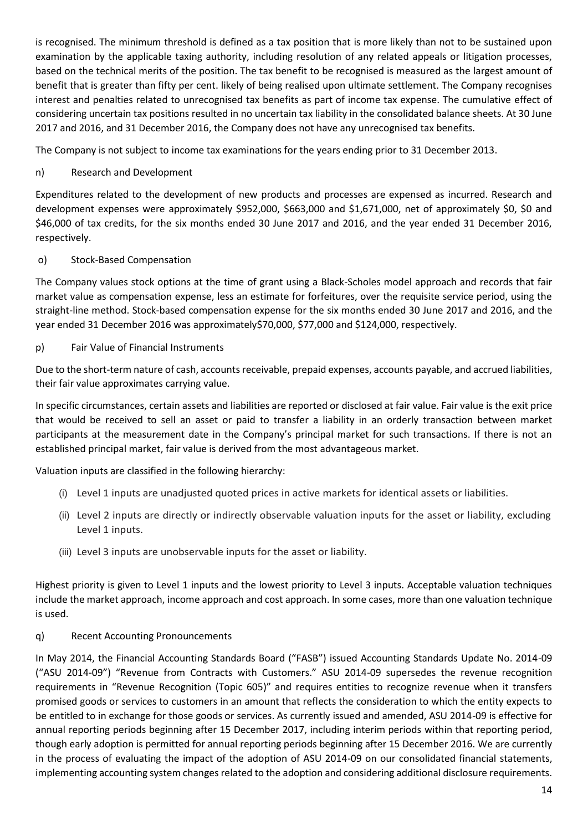is recognised. The minimum threshold is defined as a tax position that is more likely than not to be sustained upon examination by the applicable taxing authority, including resolution of any related appeals or litigation processes, based on the technical merits of the position. The tax benefit to be recognised is measured as the largest amount of benefit that is greater than fifty per cent. likely of being realised upon ultimate settlement. The Company recognises interest and penalties related to unrecognised tax benefits as part of income tax expense. The cumulative effect of considering uncertain tax positions resulted in no uncertain tax liability in the consolidated balance sheets. At 30 June 2017 and 2016, and 31 December 2016, the Company does not have any unrecognised tax benefits.

The Company is not subject to income tax examinations for the years ending prior to 31 December 2013.

# n) Research and Development

Expenditures related to the development of new products and processes are expensed as incurred. Research and development expenses were approximately \$952,000, \$663,000 and \$1,671,000, net of approximately \$0, \$0 and \$46,000 of tax credits, for the six months ended 30 June 2017 and 2016, and the year ended 31 December 2016, respectively.

o) Stock-Based Compensation

The Company values stock options at the time of grant using a Black-Scholes model approach and records that fair market value as compensation expense, less an estimate for forfeitures, over the requisite service period, using the straight-line method. Stock-based compensation expense for the six months ended 30 June 2017 and 2016, and the year ended 31 December 2016 was approximately\$70,000, \$77,000 and \$124,000, respectively.

## p) Fair Value of Financial Instruments

Due to the short-term nature of cash, accounts receivable, prepaid expenses, accounts payable, and accrued liabilities, their fair value approximates carrying value.

In specific circumstances, certain assets and liabilities are reported or disclosed at fair value. Fair value is the exit price that would be received to sell an asset or paid to transfer a liability in an orderly transaction between market participants at the measurement date in the Company's principal market for such transactions. If there is not an established principal market, fair value is derived from the most advantageous market.

Valuation inputs are classified in the following hierarchy:

- (i) Level 1 inputs are unadjusted quoted prices in active markets for identical assets or liabilities.
- (ii) Level 2 inputs are directly or indirectly observable valuation inputs for the asset or liability, excluding Level 1 inputs.
- (iii) Level 3 inputs are unobservable inputs for the asset or liability.

Highest priority is given to Level 1 inputs and the lowest priority to Level 3 inputs. Acceptable valuation techniques include the market approach, income approach and cost approach. In some cases, more than one valuation technique is used.

## q) Recent Accounting Pronouncements

In May 2014, the Financial Accounting Standards Board ("FASB") issued Accounting Standards Update No. 2014-09 ("ASU 2014-09") "Revenue from Contracts with Customers." ASU 2014-09 supersedes the revenue recognition requirements in "Revenue Recognition (Topic 605)" and requires entities to recognize revenue when it transfers promised goods or services to customers in an amount that reflects the consideration to which the entity expects to be entitled to in exchange for those goods or services. As currently issued and amended, ASU 2014-09 is effective for annual reporting periods beginning after 15 December 2017, including interim periods within that reporting period, though early adoption is permitted for annual reporting periods beginning after 15 December 2016. We are currently in the process of evaluating the impact of the adoption of ASU 2014-09 on our consolidated financial statements, implementing accounting system changes related to the adoption and considering additional disclosure requirements.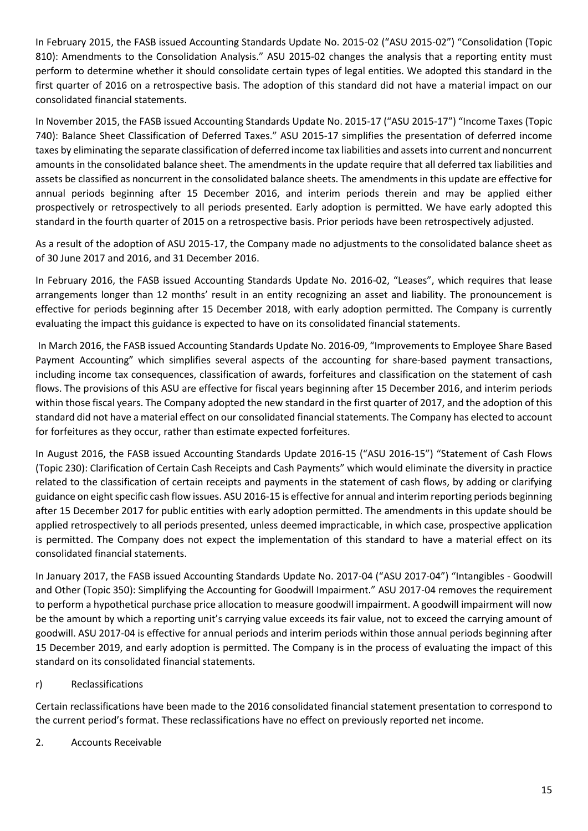In February 2015, the FASB issued Accounting Standards Update No. 2015-02 ("ASU 2015-02") "Consolidation (Topic 810): Amendments to the Consolidation Analysis." ASU 2015-02 changes the analysis that a reporting entity must perform to determine whether it should consolidate certain types of legal entities. We adopted this standard in the first quarter of 2016 on a retrospective basis. The adoption of this standard did not have a material impact on our consolidated financial statements.

In November 2015, the FASB issued Accounting Standards Update No. 2015-17 ("ASU 2015-17") "Income Taxes (Topic 740): Balance Sheet Classification of Deferred Taxes." ASU 2015-17 simplifies the presentation of deferred income taxes by eliminating the separate classification of deferred income tax liabilities and assets into current and noncurrent amounts in the consolidated balance sheet. The amendments in the update require that all deferred tax liabilities and assets be classified as noncurrent in the consolidated balance sheets. The amendments in this update are effective for annual periods beginning after 15 December 2016, and interim periods therein and may be applied either prospectively or retrospectively to all periods presented. Early adoption is permitted. We have early adopted this standard in the fourth quarter of 2015 on a retrospective basis. Prior periods have been retrospectively adjusted.

As a result of the adoption of ASU 2015-17, the Company made no adjustments to the consolidated balance sheet as of 30 June 2017 and 2016, and 31 December 2016.

In February 2016, the FASB issued Accounting Standards Update No. 2016-02, "Leases", which requires that lease arrangements longer than 12 months' result in an entity recognizing an asset and liability. The pronouncement is effective for periods beginning after 15 December 2018, with early adoption permitted. The Company is currently evaluating the impact this guidance is expected to have on its consolidated financial statements.

In March 2016, the FASB issued Accounting Standards Update No. 2016-09, "Improvements to Employee Share Based Payment Accounting" which simplifies several aspects of the accounting for share-based payment transactions, including income tax consequences, classification of awards, forfeitures and classification on the statement of cash flows. The provisions of this ASU are effective for fiscal years beginning after 15 December 2016, and interim periods within those fiscal years. The Company adopted the new standard in the first quarter of 2017, and the adoption of this standard did not have a material effect on our consolidated financial statements. The Company has elected to account for forfeitures as they occur, rather than estimate expected forfeitures.

In August 2016, the FASB issued Accounting Standards Update 2016-15 ("ASU 2016-15") "Statement of Cash Flows (Topic 230): Clarification of Certain Cash Receipts and Cash Payments" which would eliminate the diversity in practice related to the classification of certain receipts and payments in the statement of cash flows, by adding or clarifying guidance on eight specific cash flow issues. ASU 2016-15 is effective for annual and interim reporting periods beginning after 15 December 2017 for public entities with early adoption permitted. The amendments in this update should be applied retrospectively to all periods presented, unless deemed impracticable, in which case, prospective application is permitted. The Company does not expect the implementation of this standard to have a material effect on its consolidated financial statements.

In January 2017, the FASB issued Accounting Standards Update No. 2017-04 ("ASU 2017-04") "Intangibles - Goodwill and Other (Topic 350): Simplifying the Accounting for Goodwill Impairment." ASU 2017-04 removes the requirement to perform a hypothetical purchase price allocation to measure goodwill impairment. A goodwill impairment will now be the amount by which a reporting unit's carrying value exceeds its fair value, not to exceed the carrying amount of goodwill. ASU 2017-04 is effective for annual periods and interim periods within those annual periods beginning after 15 December 2019, and early adoption is permitted. The Company is in the process of evaluating the impact of this standard on its consolidated financial statements.

# r) Reclassifications

Certain reclassifications have been made to the 2016 consolidated financial statement presentation to correspond to the current period's format. These reclassifications have no effect on previously reported net income.

2. Accounts Receivable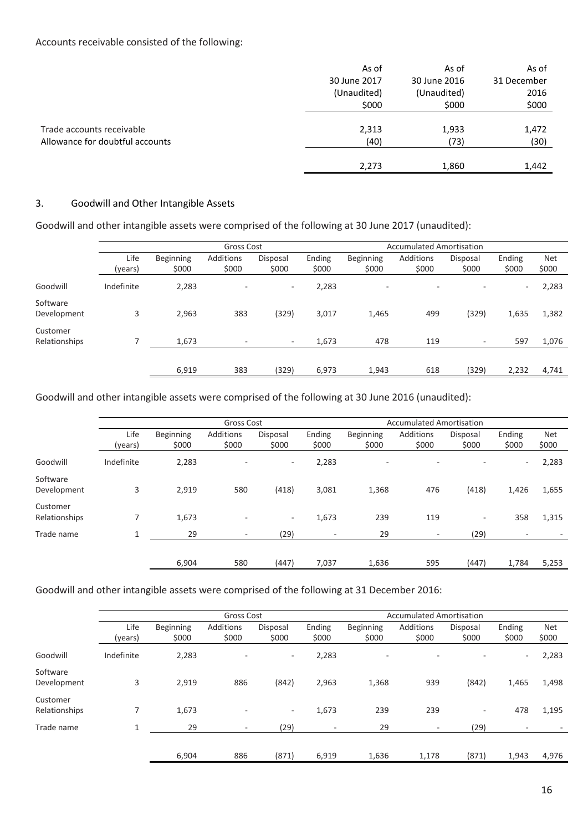|                                 | As of        | As of        | As of       |
|---------------------------------|--------------|--------------|-------------|
|                                 | 30 June 2017 | 30 June 2016 | 31 December |
|                                 | (Unaudited)  | (Unaudited)  | 2016        |
|                                 | \$000        | \$000        | \$000       |
|                                 |              |              |             |
| Trade accounts receivable       | 2,313        | 1,933        | 1,472       |
| Allowance for doubtful accounts | (40)         | (73)         | (30)        |
|                                 |              |              |             |
|                                 | 2,273        | 1,860        | 1,442       |

### 3. Goodwill and Other Intangible Assets

Goodwill and other intangible assets were comprised of the following at 30 June 2017 (unaudited):

|                           | Gross Cost |                  |           |          |        | <b>Accumulated Amortisation</b> |                          |                          |                          |            |
|---------------------------|------------|------------------|-----------|----------|--------|---------------------------------|--------------------------|--------------------------|--------------------------|------------|
|                           | Life       | <b>Beginning</b> | Additions | Disposal | Ending | Beginning                       | Additions                | Disposal                 | Ending                   | <b>Net</b> |
|                           | (years)    | \$000            | \$000     | \$000    | \$000  | \$000                           | \$000                    | \$000                    | \$000                    | \$000      |
| Goodwill                  | Indefinite | 2,283            |           | $\sim$   | 2,283  | $\overline{\phantom{a}}$        | $\overline{\phantom{a}}$ | $\overline{\phantom{a}}$ | $\overline{\phantom{a}}$ | 2,283      |
| Software<br>Development   | 3          | 2,963            | 383       | (329)    | 3,017  | 1,465                           | 499                      | (329)                    | 1,635                    | 1,382      |
| Customer<br>Relationships |            | 1,673            |           | $\sim$   | 1,673  | 478                             | 119                      | $\overline{\phantom{a}}$ | 597                      | 1,076      |
|                           |            | 6,919            | 383       | (329)    | 6,973  | 1,943                           | 618                      | (329)                    | 2,232                    | 4,741      |
|                           |            |                  |           |          |        |                                 |                          |                          |                          |            |

Goodwill and other intangible assets were comprised of the following at 30 June 2016 (unaudited):

|                           |                 | Gross Cost         |                           |                   |                          |                    | <b>Accumulated Amortisation</b> |                          |                          |                     |
|---------------------------|-----------------|--------------------|---------------------------|-------------------|--------------------------|--------------------|---------------------------------|--------------------------|--------------------------|---------------------|
|                           | Life<br>(years) | Beginning<br>\$000 | <b>Additions</b><br>\$000 | Disposal<br>\$000 | Ending<br>\$000          | Beginning<br>\$000 | <b>Additions</b><br>\$000       | Disposal<br>\$000        | Ending<br>\$000          | <b>Net</b><br>\$000 |
| Goodwill                  | Indefinite      | 2,283              | ٠                         | $\sim$            | 2,283                    | ٠                  | $\overline{\phantom{a}}$        | $\overline{\phantom{a}}$ | $\overline{\phantom{a}}$ | 2,283               |
| Software<br>Development   | 3               | 2,919              | 580                       | (418)             | 3,081                    | 1,368              | 476                             | (418)                    | 1,426                    | 1,655               |
| Customer<br>Relationships |                 | 1,673              | $\overline{a}$            | $\sim$            | 1,673                    | 239                | 119                             | $\overline{\phantom{a}}$ | 358                      | 1,315               |
| Trade name                | 1               | 29                 | $\overline{\phantom{a}}$  | (29)              | $\overline{\phantom{a}}$ | 29                 | $\overline{\phantom{a}}$        | (29)                     |                          |                     |
|                           |                 |                    |                           |                   |                          |                    |                                 |                          |                          |                     |
|                           |                 | 6,904              | 580                       | (447)             | 7,037                    | 1,636              | 595                             | (447)                    | 1,784                    | 5,253               |

## Goodwill and other intangible assets were comprised of the following at 31 December 2016:

|                           |                 |                           | Gross Cost               |                          |                          | <b>Accumulated Amortisation</b> |                    |                          |                          |                     |
|---------------------------|-----------------|---------------------------|--------------------------|--------------------------|--------------------------|---------------------------------|--------------------|--------------------------|--------------------------|---------------------|
|                           | Life<br>(years) | <b>Beginning</b><br>\$000 | Additions<br>\$000       | Disposal<br>\$000        | Ending<br>\$000          | Beginning<br>\$000              | Additions<br>\$000 | Disposal<br>\$000        | Ending<br>\$000          | <b>Net</b><br>\$000 |
| Goodwill                  | Indefinite      | 2,283                     | $\overline{\phantom{a}}$ | ۰                        | 2,283                    | $\overline{\phantom{a}}$        |                    |                          | $\overline{\phantom{a}}$ | 2,283               |
| Software<br>Development   | 3               | 2,919                     | 886                      | (842)                    | 2,963                    | 1,368                           | 939                | (842)                    | 1,465                    | 1,498               |
| Customer<br>Relationships | 7               | 1,673                     | $\overline{\phantom{a}}$ | $\overline{\phantom{a}}$ | 1,673                    | 239                             | 239                | $\overline{\phantom{a}}$ | 478                      | 1,195               |
| Trade name                | 1               | 29                        | $\sim$                   | (29)                     | $\overline{\phantom{a}}$ | 29                              | $\sim$             | (29)                     | $\overline{\phantom{a}}$ |                     |
|                           |                 | 6,904                     | 886                      | (871)                    | 6,919                    | 1,636                           | 1,178              | (871)                    | 1,943                    | 4,976               |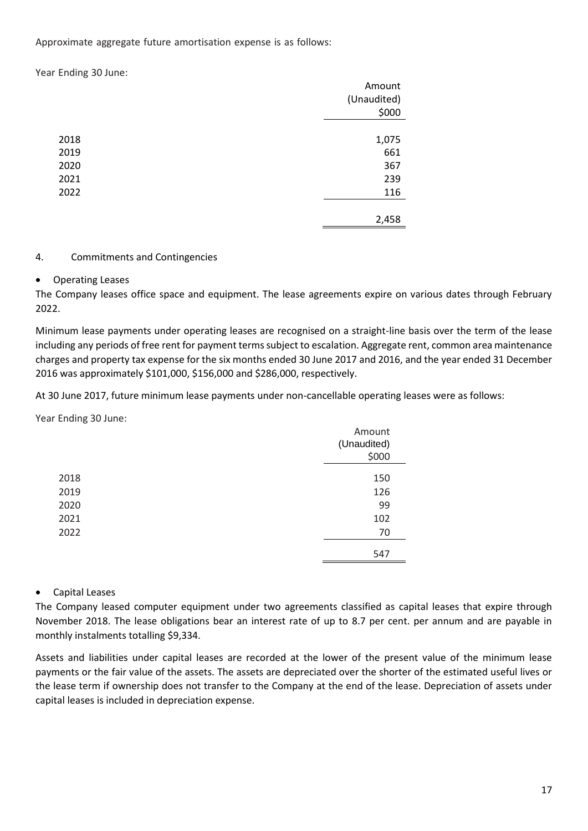Approximate aggregate future amortisation expense is as follows:

Year Ending 30 June:

|      | Amount      |
|------|-------------|
|      | (Unaudited) |
|      | \$000       |
|      |             |
| 2018 | 1,075       |
| 2019 | 661         |
| 2020 | 367         |
| 2021 | 239         |
| 2022 | 116         |
|      |             |
|      | 2,458       |

### 4. Commitments and Contingencies

## • Operating Leases

The Company leases office space and equipment. The lease agreements expire on various dates through February 2022.

Minimum lease payments under operating leases are recognised on a straight-line basis over the term of the lease including any periods of free rent for payment terms subject to escalation. Aggregate rent, common area maintenance charges and property tax expense for the six months ended 30 June 2017 and 2016, and the year ended 31 December 2016 was approximately \$101,000, \$156,000 and \$286,000, respectively.

At 30 June 2017, future minimum lease payments under non-cancellable operating leases were as follows:

Year Ending 30 June:

|      | Amount<br>(Unaudited)<br>\$000 |
|------|--------------------------------|
| 2018 | 150                            |
| 2019 | 126                            |
| 2020 | 99                             |
| 2021 | 102                            |
| 2022 | 70                             |
|      | 547                            |

## • Capital Leases

The Company leased computer equipment under two agreements classified as capital leases that expire through November 2018. The lease obligations bear an interest rate of up to 8.7 per cent. per annum and are payable in monthly instalments totalling \$9,334.

Assets and liabilities under capital leases are recorded at the lower of the present value of the minimum lease payments or the fair value of the assets. The assets are depreciated over the shorter of the estimated useful lives or the lease term if ownership does not transfer to the Company at the end of the lease. Depreciation of assets under capital leases is included in depreciation expense.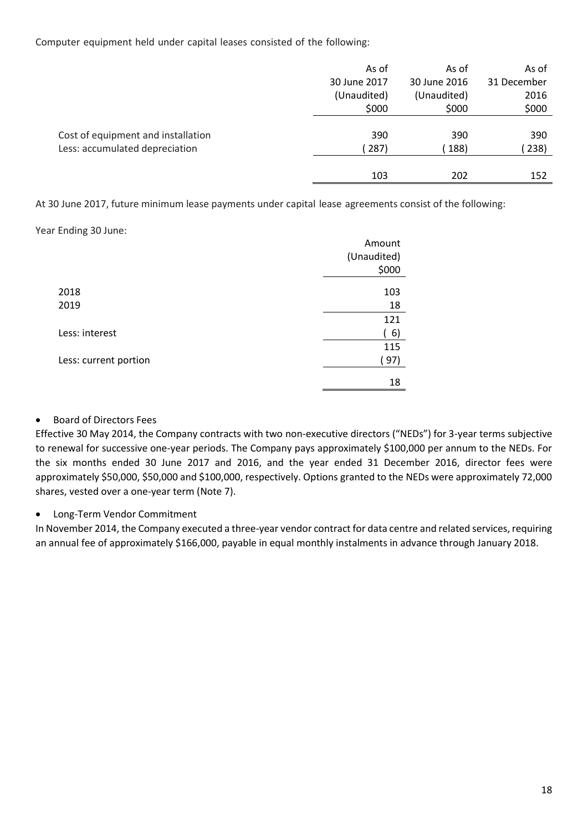Computer equipment held under capital leases consisted of the following:

|                                    | As of        | As of        | As of       |
|------------------------------------|--------------|--------------|-------------|
|                                    | 30 June 2017 | 30 June 2016 | 31 December |
|                                    | (Unaudited)  | (Unaudited)  | 2016        |
|                                    | \$000        | \$000        | \$000       |
|                                    |              |              |             |
| Cost of equipment and installation | 390          | 390          | 390         |
| Less: accumulated depreciation     | 287)         | 188)         | 238)        |
|                                    |              |              |             |
|                                    | 103          | 202          | 152         |

At 30 June 2017, future minimum lease payments under capital lease agreements consist of the following:

Year Ending 30 June:

|                       | Amount      |
|-----------------------|-------------|
|                       | (Unaudited) |
|                       | \$000       |
| 2018                  | 103         |
| 2019                  | 18          |
|                       | 121         |
| Less: interest        | 6)          |
|                       | 115         |
| Less: current portion | (97)        |
|                       | 18          |

## • Board of Directors Fees

Effective 30 May 2014, the Company contracts with two non-executive directors ("NEDs") for 3-year terms subjective to renewal for successive one-year periods. The Company pays approximately \$100,000 per annum to the NEDs. For the six months ended 30 June 2017 and 2016, and the year ended 31 December 2016, director fees were approximately \$50,000, \$50,000 and \$100,000, respectively. Options granted to the NEDs were approximately 72,000 shares, vested over a one-year term (Note 7).

## • Long-Term Vendor Commitment

In November 2014, the Company executed a three-year vendor contract for data centre and related services, requiring an annual fee of approximately \$166,000, payable in equal monthly instalments in advance through January 2018.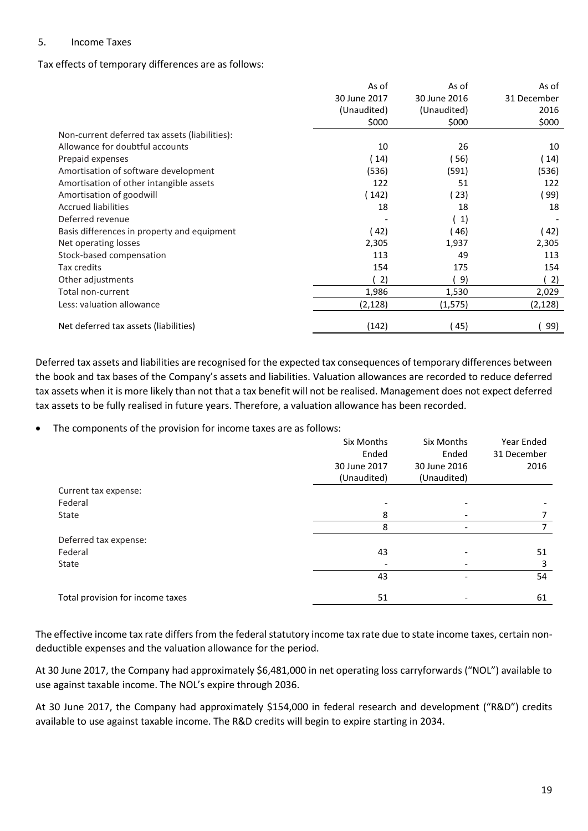#### 5. Income Taxes

#### Tax effects of temporary differences are as follows:

|                                                | As of        | As of        | As of       |
|------------------------------------------------|--------------|--------------|-------------|
|                                                | 30 June 2017 | 30 June 2016 | 31 December |
|                                                | (Unaudited)  | (Unaudited)  | 2016        |
|                                                | \$000        | \$000        | \$000       |
| Non-current deferred tax assets (liabilities): |              |              |             |
| Allowance for doubtful accounts                | 10           | 26           | 10          |
| Prepaid expenses                               | (14)         | 56)          | (14)        |
| Amortisation of software development           | (536)        | (591)        | (536)       |
| Amortisation of other intangible assets        | 122          | 51           | 122         |
| Amortisation of goodwill                       | (142)        | (23)         | 99)         |
| <b>Accrued liabilities</b>                     | 18           | 18           | 18          |
| Deferred revenue                               |              | 1)           |             |
| Basis differences in property and equipment    | (42)         | 46)          | (42)        |
| Net operating losses                           | 2,305        | 1,937        | 2,305       |
| Stock-based compensation                       | 113          | 49           | 113         |
| Tax credits                                    | 154          | 175          | 154         |
| Other adjustments                              | 2)           | 9)           | 2)          |
| Total non-current                              | 1,986        | 1,530        | 2,029       |
| Less: valuation allowance                      | (2, 128)     | (1, 575)     | (2, 128)    |
| Net deferred tax assets (liabilities)          | (142)        | (45)         | 99)         |

Deferred tax assets and liabilities are recognised for the expected tax consequences of temporary differences between the book and tax bases of the Company's assets and liabilities. Valuation allowances are recorded to reduce deferred tax assets when it is more likely than not that a tax benefit will not be realised. Management does not expect deferred tax assets to be fully realised in future years. Therefore, a valuation allowance has been recorded.

• The components of the provision for income taxes are as follows:

|                                  | Six Months   | Six Months   | Year Ended  |
|----------------------------------|--------------|--------------|-------------|
|                                  | Ended        | Ended        | 31 December |
|                                  | 30 June 2017 | 30 June 2016 | 2016        |
|                                  | (Unaudited)  | (Unaudited)  |             |
| Current tax expense:             |              |              |             |
| Federal                          |              |              |             |
| State                            | 8            |              |             |
|                                  | 8            | -            |             |
| Deferred tax expense:            |              |              |             |
| Federal                          | 43           |              | 51          |
| State                            |              |              | 3           |
|                                  | 43           |              | 54          |
| Total provision for income taxes | 51           |              | 61          |

The effective income tax rate differs from the federal statutory income tax rate due to state income taxes, certain nondeductible expenses and the valuation allowance for the period.

At 30 June 2017, the Company had approximately \$6,481,000 in net operating loss carryforwards ("NOL") available to use against taxable income. The NOL's expire through 2036.

At 30 June 2017, the Company had approximately \$154,000 in federal research and development ("R&D") credits available to use against taxable income. The R&D credits will begin to expire starting in 2034.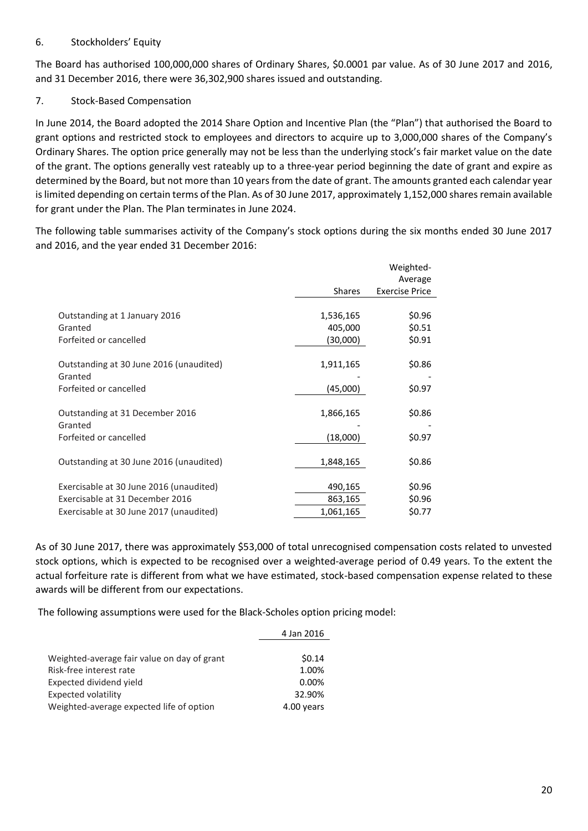## 6. Stockholders' Equity

The Board has authorised 100,000,000 shares of Ordinary Shares, \$0.0001 par value. As of 30 June 2017 and 2016, and 31 December 2016, there were 36,302,900 shares issued and outstanding.

## 7. Stock-Based Compensation

In June 2014, the Board adopted the 2014 Share Option and Incentive Plan (the "Plan") that authorised the Board to grant options and restricted stock to employees and directors to acquire up to 3,000,000 shares of the Company's Ordinary Shares. The option price generally may not be less than the underlying stock's fair market value on the date of the grant. The options generally vest rateably up to a three-year period beginning the date of grant and expire as determined by the Board, but not more than 10 years from the date of grant. The amounts granted each calendar year is limited depending on certain terms of the Plan. As of 30 June 2017, approximately 1,152,000 shares remain available for grant under the Plan. The Plan terminates in June 2024.

The following table summarises activity of the Company's stock options during the six months ended 30 June 2017 and 2016, and the year ended 31 December 2016:

|                                                                            |                                  | Weighted-                        |
|----------------------------------------------------------------------------|----------------------------------|----------------------------------|
|                                                                            | <b>Shares</b>                    | Average<br><b>Exercise Price</b> |
| Outstanding at 1 January 2016<br>Granted<br>Forfeited or cancelled         | 1,536,165<br>405,000<br>(30,000) | \$0.96<br>\$0.51<br>\$0.91       |
| Outstanding at 30 June 2016 (unaudited)<br>Granted                         | 1,911,165                        | \$0.86                           |
| Forfeited or cancelled                                                     | (45,000)                         | \$0.97                           |
| Outstanding at 31 December 2016<br>Granted                                 | 1,866,165                        | \$0.86                           |
| Forfeited or cancelled                                                     | (18,000)                         | \$0.97                           |
| Outstanding at 30 June 2016 (unaudited)                                    | 1,848,165                        | \$0.86                           |
| Exercisable at 30 June 2016 (unaudited)<br>Exercisable at 31 December 2016 | 490,165<br>863,165               | \$0.96<br>\$0.96                 |
| Exercisable at 30 June 2017 (unaudited)                                    | 1,061,165                        | \$0.77                           |

As of 30 June 2017, there was approximately \$53,000 of total unrecognised compensation costs related to unvested stock options, which is expected to be recognised over a weighted-average period of 0.49 years. To the extent the actual forfeiture rate is different from what we have estimated, stock-based compensation expense related to these awards will be different from our expectations.

The following assumptions were used for the Black-Scholes option pricing model:

|                                             | 4 Jan 2016 |
|---------------------------------------------|------------|
|                                             |            |
| Weighted-average fair value on day of grant | \$0.14     |
| Risk-free interest rate                     | 1.00%      |
| Expected dividend yield                     | $0.00\%$   |
| Expected volatility                         | 32.90%     |
| Weighted-average expected life of option    | 4.00 years |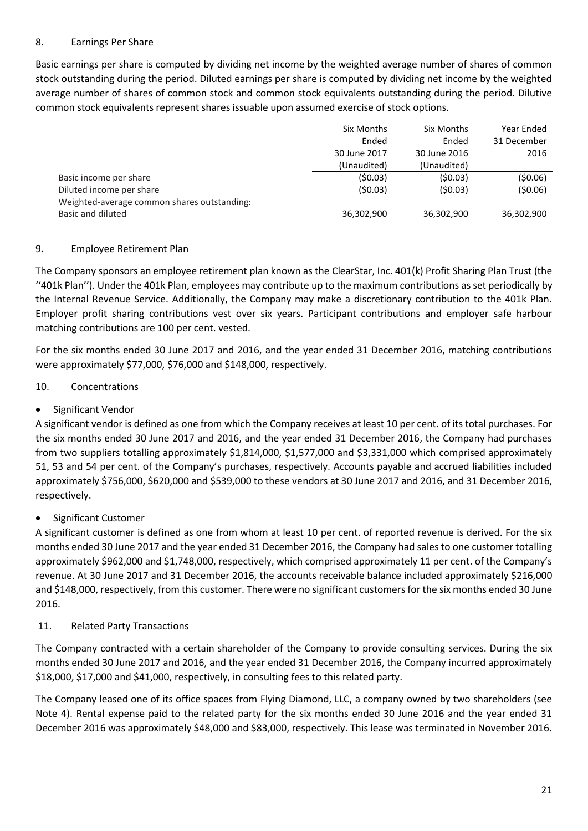## 8. Earnings Per Share

Basic earnings per share is computed by dividing net income by the weighted average number of shares of common stock outstanding during the period. Diluted earnings per share is computed by dividing net income by the weighted average number of shares of common stock and common stock equivalents outstanding during the period. Dilutive common stock equivalents represent shares issuable upon assumed exercise of stock options.

|                                             | Six Months   | Six Months   | Year Ended  |
|---------------------------------------------|--------------|--------------|-------------|
|                                             | Ended        | Ended        | 31 December |
|                                             | 30 June 2017 | 30 June 2016 | 2016        |
|                                             | (Unaudited)  | (Unaudited)  |             |
| Basic income per share                      | (\$0.03)     | (\$0.03)     | (50.06)     |
| Diluted income per share                    | (50.03)      | (50.03)      | (50.06)     |
| Weighted-average common shares outstanding: |              |              |             |
| Basic and diluted                           | 36,302,900   | 36,302,900   | 36,302,900  |

# 9. Employee Retirement Plan

The Company sponsors an employee retirement plan known as the ClearStar, Inc. 401(k) Profit Sharing Plan Trust (the ''401k Plan''). Under the 401k Plan, employees may contribute up to the maximum contributions as set periodically by the Internal Revenue Service. Additionally, the Company may make a discretionary contribution to the 401k Plan. Employer profit sharing contributions vest over six years. Participant contributions and employer safe harbour matching contributions are 100 per cent. vested.

For the six months ended 30 June 2017 and 2016, and the year ended 31 December 2016, matching contributions were approximately \$77,000, \$76,000 and \$148,000, respectively.

# 10. Concentrations

# • Significant Vendor

A significant vendor is defined as one from which the Company receives at least 10 per cent. of its total purchases. For the six months ended 30 June 2017 and 2016, and the year ended 31 December 2016, the Company had purchases from two suppliers totalling approximately \$1,814,000, \$1,577,000 and \$3,331,000 which comprised approximately 51, 53 and 54 per cent. of the Company's purchases, respectively. Accounts payable and accrued liabilities included approximately \$756,000, \$620,000 and \$539,000 to these vendors at 30 June 2017 and 2016, and 31 December 2016, respectively.

# • Significant Customer

A significant customer is defined as one from whom at least 10 per cent. of reported revenue is derived. For the six months ended 30 June 2017 and the year ended 31 December 2016, the Company had sales to one customer totalling approximately \$962,000 and \$1,748,000, respectively, which comprised approximately 11 per cent. of the Company's revenue. At 30 June 2017 and 31 December 2016, the accounts receivable balance included approximately \$216,000 and \$148,000, respectively, from this customer. There were no significant customers for the six months ended 30 June 2016.

## 11. Related Party Transactions

The Company contracted with a certain shareholder of the Company to provide consulting services. During the six months ended 30 June 2017 and 2016, and the year ended 31 December 2016, the Company incurred approximately \$18,000, \$17,000 and \$41,000, respectively, in consulting fees to this related party.

The Company leased one of its office spaces from Flying Diamond, LLC, a company owned by two shareholders (see Note 4). Rental expense paid to the related party for the six months ended 30 June 2016 and the year ended 31 December 2016 was approximately \$48,000 and \$83,000, respectively. This lease was terminated in November 2016.